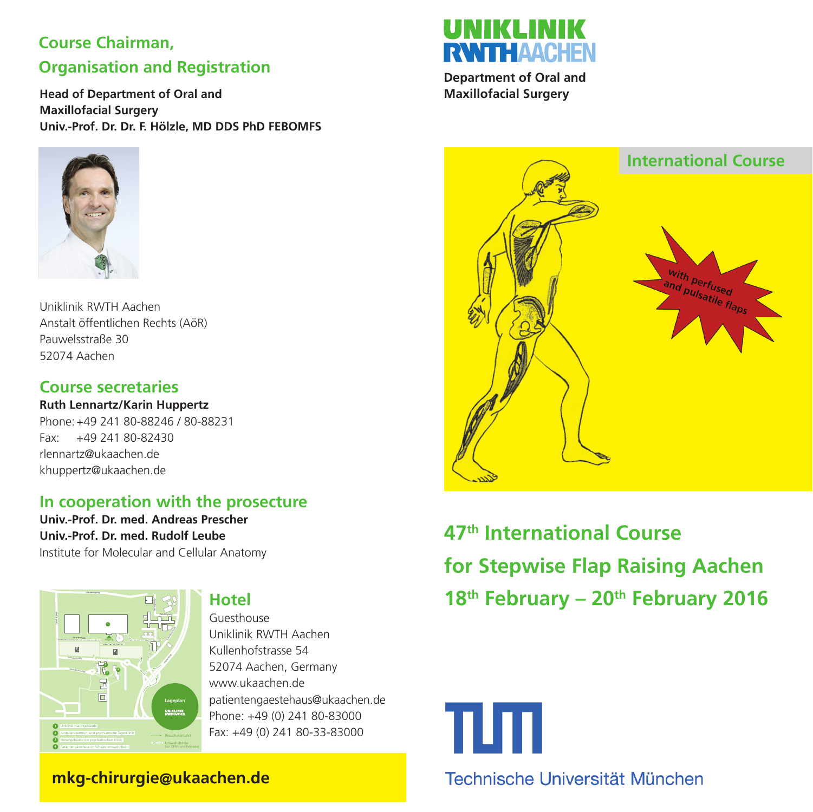# **Course Chairman, Organisation and Registration**

**Head of Department of Oral and Maxillofacial Surgery Univ.-Prof. Dr. Dr. F. Hölzle, MD DDS PhD FEBOMFS**



Uniklinik RWTH Aachen Anstalt öffentlichen Rechts (AöR) Pauwelsstraße 30 52074 Aachen

#### **Course secretaries**

**Ruth Lennartz/Karin Huppertz** Phone: +49 241 80-88246 / 80-88231 Fax: +49 241 80-82430 rlennartz@ukaachen.de khuppertz@ukaachen.de

#### **In cooperation with the prosecture**

**Univ.-Prof. Dr. med. Andreas Prescher Univ.-Prof. Dr. med. Rudolf Leube** Institute for Molecular and Cellular Anatomy



**Hotel**

Guesthouse Uniklinik RWTH Aachen Kullenhofstrasse 54 52074 Aachen, Germany www.ukaachen.de patientengaestehaus@ukaachen.de Phone: +49 (0) 241 80-83000 Fax: +49 (0) 241 80-33-83000



**Department of Oral and Maxillofacial Surgery**



**47th International Course for Stepwise Flap Raising Aachen 18th February – 20th February 2016**



 **mkg-chirurgie@ukaachen.de**